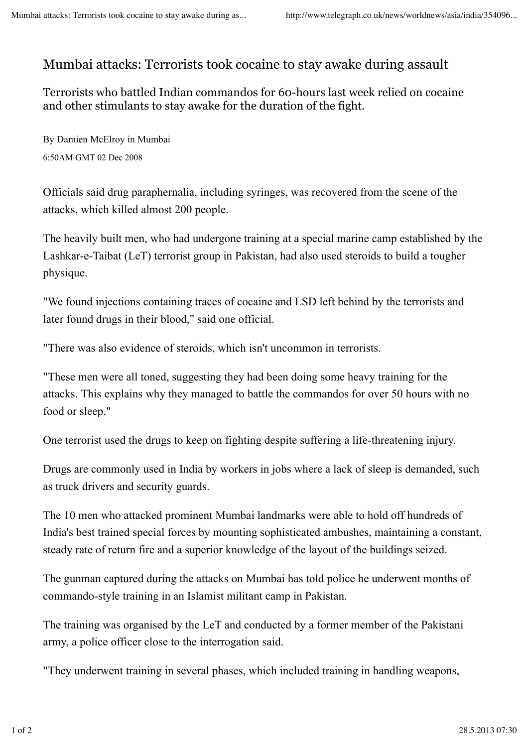## Mumbai attacks: Terrorists took cocaine to stay awake during assault

Terrorists who battled Indian commandos for 60-hours last week relied on cocaine and other stimulants to stay awake for the duration of the fight.

By Damien McElroy in Mumbai 6:50AM GMT 02 Dec 2008

Officials said drug paraphernalia, including syringes, was recovered from the scene of the attacks, which killed almost 200 people.

The heavily built men, who had undergone training at a special marine camp established by the Lashkar-e-Taibat (LeT) terrorist group in Pakistan, had also used steroids to build a tougher physique.

"We found injections containing traces of cocaine and LSD left behind by the terrorists and later found drugs in their blood," said one official.

"There was also evidence of steroids, which isn't uncommon in terrorists.

"These men were all toned, suggesting they had been doing some heavy training for the attacks. This explains why they managed to battle the commandos for over 50 hours with no food or sleep."

One terrorist used the drugs to keep on fighting despite suffering a life-threatening injury.

Drugs are commonly used in India by workers in jobs where a lack of sleep is demanded, such as truck drivers and security guards.

The 10 men who attacked prominent Mumbai landmarks were able to hold off hundreds of India's best trained special forces by mounting sophisticated ambushes, maintaining a constant, steady rate of return fire and a superior knowledge of the layout of the buildings seized.

The gunman captured during the attacks on Mumbai has told police he underwent months of commando-style training in an Islamist militant camp in Pakistan.

The training was organised by the LeT and conducted by a former member of the Pakistani army, a police officer close to the interrogation said.

"They underwent training in several phases, which included training in handling weapons,